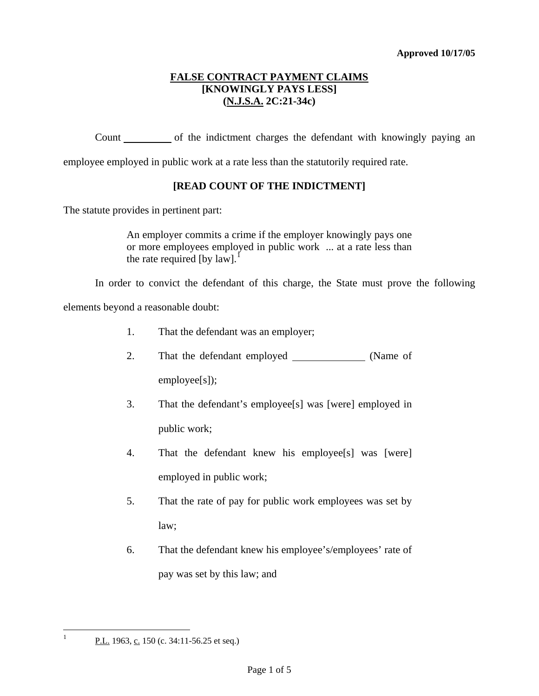# **FALSE CONTRACT PAYMENT CLAIMS [KNOWINGLY PAYS LESS] (N.J.S.A. 2C:21-34c)**

Count of the indictment charges the defendant with knowingly paying an

employee employed in public work at a rate less than the statutorily required rate.

# **[READ COUNT OF THE INDICTMENT]**

The statute provides in pertinent part:

An employer commits a crime if the employer knowingly pays one or more employees employed in public work ... at a rate less than the rate required [by  $law$ ].<sup>[1](#page-0-0)</sup>

In order to convict the defendant of this charge, the State must prove the following

elements beyond a reasonable doubt:

- 1. That the defendant was an employer;
- 2. That the defendant employed (Name of

employee[s]);

- 3. That the defendant's employee[s] was [were] employed in public work;
- 4. That the defendant knew his employee[s] was [were] employed in public work;
- <span id="page-0-1"></span>5. That the rate of pay for public work employees was set by law;
- 6. That the defendant knew his employee's/employees' rate of pay was set by this law; and

<span id="page-0-0"></span> $\mathbf{1}$ P.L. 1963, c. 150 (c. 34:11-56.25 et seq.)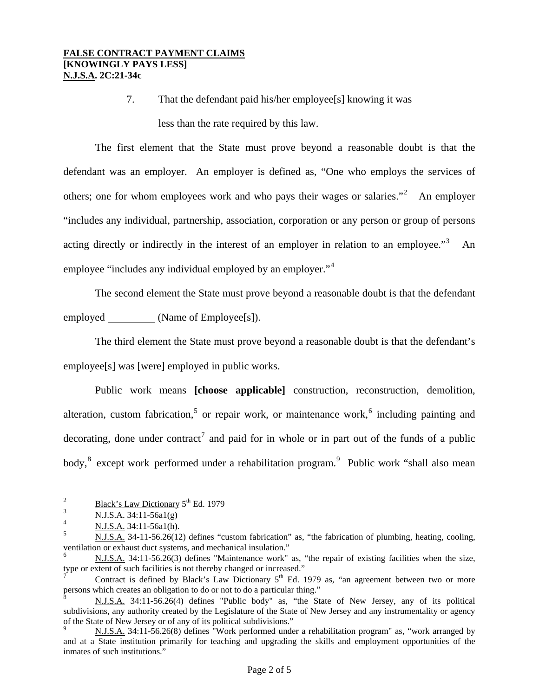7. That the defendant paid his/her employee[s] knowing it was less than the rate required by this law.

The first element that the State must prove beyond a reasonable doubt is that the defendant was an employer. An employer is defined as, "One who employs the services of others; one for whom employees work and who pays their wages or salaries. $\cdot$ <sup>[2](#page-0-1)</sup> An employer "includes any individual, partnership, association, corporation or any person or group of persons acting directly or indirectly in the interest of an employer in relation to an employee."<sup>[3](#page-1-0)</sup> An employee "includes any individual employed by an employer."<sup>[4](#page-1-1)</sup>

The second element the State must prove beyond a reasonable doubt is that the defendant employed \_\_\_\_\_\_\_\_\_\_ (Name of Employee[s]).

The third element the State must prove beyond a reasonable doubt is that the defendant's employee[s] was [were] employed in public works.

Public work means **[choose applicable]** construction, reconstruction, demolition, alteration, custom fabrication,<sup>[5](#page-1-2)</sup> or repair work, or maintenance work,<sup>[6](#page-1-3)</sup> including painting and decorating, done under contract<sup>[7](#page-1-4)</sup> and paid for in whole or in part out of the funds of a public body,<sup>[8](#page-1-5)</sup> except work performed under a rehabilitation program.<sup>[9](#page-1-6)</sup> Public work "shall also mean

 $\overline{2}$ <sup>2</sup> Black's Law Dictionary  $5^{th}$  Ed. 1979

<span id="page-1-0"></span> $\frac{3}{4}$  N.J.S.A. 34:11-56a1(g)

<span id="page-1-1"></span> $\frac{1}{5}$  N.J.S.A. 34:11-56a1(h).

<span id="page-1-2"></span><sup>5</sup> N.J.S.A. 34-11-56.26(12) defines "custom fabrication" as, "the fabrication of plumbing, heating, cooling, ventilation or exhaust duct systems, and mechanical insulation."

<span id="page-1-3"></span><sup>6</sup> N.J.S.A. 34:11-56.26(3) defines "Maintenance work" as, "the repair of existing facilities when the size, type or extent of such facilities is not thereby changed or increased."

<span id="page-1-4"></span>Contract is defined by Black's Law Dictionary  $5<sup>th</sup>$  Ed. 1979 as, "an agreement between two or more persons which creates an obligation to do or not to do a particular thing."

<span id="page-1-5"></span><sup>8</sup> N.J.S.A. 34:11-56.26(4) defines "Public body" as, "the State of New Jersey, any of its political subdivisions, any authority created by the Legislature of the State of New Jersey and any instrumentality or agency of the State of New Jersey or of any of its political subdivisions."<br><sup>9</sup> N.J.S.A. 34:11-56.26(8) defines "Work performed under a rehabilitation program" as, "work arranged by

<span id="page-1-7"></span><span id="page-1-6"></span>and at a State institution primarily for teaching and upgrading the skills and employment opportunities of the inmates of such institutions."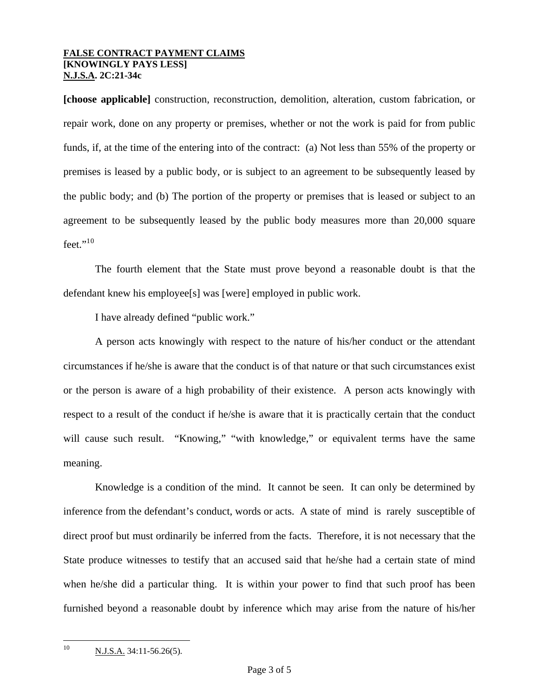## **FALSE CONTRACT PAYMENT CLAIMS [KNOWINGLY PAYS LESS] N.J.S.A. 2C:21-34c**

**[choose applicable]** construction, reconstruction, demolition, alteration, custom fabrication, or repair work, done on any property or premises, whether or not the work is paid for from public funds, if, at the time of the entering into of the contract: (a) Not less than 55% of the property or premises is leased by a public body, or is subject to an agreement to be subsequently leased by the public body; and (b) The portion of the property or premises that is leased or subject to an agreement to be subsequently leased by the public body measures more than 20,000 square feet." $^{10}$  $^{10}$  $^{10}$ 

The fourth element that the State must prove beyond a reasonable doubt is that the defendant knew his employee[s] was [were] employed in public work.

I have already defined "public work."

A person acts knowingly with respect to the nature of his/her conduct or the attendant circumstances if he/she is aware that the conduct is of that nature or that such circumstances exist or the person is aware of a high probability of their existence. A person acts knowingly with respect to a result of the conduct if he/she is aware that it is practically certain that the conduct will cause such result. "Knowing," "with knowledge," or equivalent terms have the same meaning.

<span id="page-2-0"></span>Knowledge is a condition of the mind. It cannot be seen. It can only be determined by inference from the defendant's conduct, words or acts. A state of mind is rarely susceptible of direct proof but must ordinarily be inferred from the facts. Therefore, it is not necessary that the State produce witnesses to testify that an accused said that he/she had a certain state of mind when he/she did a particular thing. It is within your power to find that such proof has been furnished beyond a reasonable doubt by inference which may arise from the nature of his/her

 $10\,$ N.J.S.A. 34:11-56.26(5).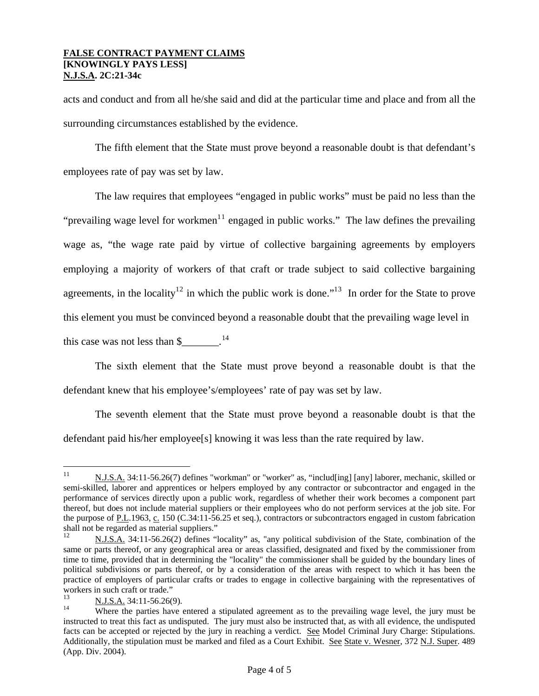#### **FALSE CONTRACT PAYMENT CLAIMS [KNOWINGLY PAYS LESS] N.J.S.A. 2C:21-34c**

acts and conduct and from all he/she said and did at the particular time and place and from all the surrounding circumstances established by the evidence.

The fifth element that the State must prove beyond a reasonable doubt is that defendant's employees rate of pay was set by law.

The law requires that employees "engaged in public works" must be paid no less than the "prevailing wage level for workmen $11$  $11$  engaged in public works." The law defines the prevailing wage as, "the wage rate paid by virtue of collective bargaining agreements by employers employing a majority of workers of that craft or trade subject to said collective bargaining agreements, in the locality<sup>1[2](#page-3-0)</sup> in which the public work is done."<sup>1[3](#page-3-1)</sup> In order for the State to prove this element you must be convinced beyond a reasonable doubt that the prevailing wage level in this case was not less than  $\frac{1}{4}$ .

The sixth element that the State must prove beyond a reasonable doubt is that the defendant knew that his employee's/employees' rate of pay was set by law.

The seventh element that the State must prove beyond a reasonable doubt is that the defendant paid his/her employee[s] knowing it was less than the rate required by law.

 $11$ 11 N.J.S.A. 34:11-56.26(7) defines "workman" or "worker" as, "includ[ing] [any] laborer, mechanic, skilled or semi-skilled, laborer and apprentices or helpers employed by any contractor or subcontractor and engaged in the performance of services directly upon a public work, regardless of whether their work becomes a component part thereof, but does not include material suppliers or their employees who do not perform services at the job site. For the purpose of P.L.1963, c. 150 (C.34:11-56.25 et seq.), contractors or subcontractors engaged in custom fabrication shall not be regarded as material suppliers."

<span id="page-3-0"></span><sup>12</sup> N.J.S.A. 34:11-56.26(2) defines "locality" as, "any political subdivision of the State, combination of the same or parts thereof, or any geographical area or areas classified, designated and fixed by the commissioner from time to time, provided that in determining the "locality" the commissioner shall be guided by the boundary lines of political subdivisions or parts thereof, or by a consideration of the areas with respect to which it has been the practice of employers of particular crafts or trades to engage in collective bargaining with the representatives of workers in such craft or trade."

<span id="page-3-2"></span><span id="page-3-1"></span> $\frac{N.J.S.A.}{N}$  34:11-56.26(9).<br><sup>14</sup> Where the parties have entered a stipulated agreement as to the prevailing wage level, the jury must be instructed to treat this fact as undisputed. The jury must also be instructed that, as with all evidence, the undisputed facts can be accepted or rejected by the jury in reaching a verdict. See Model Criminal Jury Charge: Stipulations. Additionally, the stipulation must be marked and filed as a Court Exhibit. See State v. Wesner, 372 N.J. Super. 489 (App. Div. 2004).